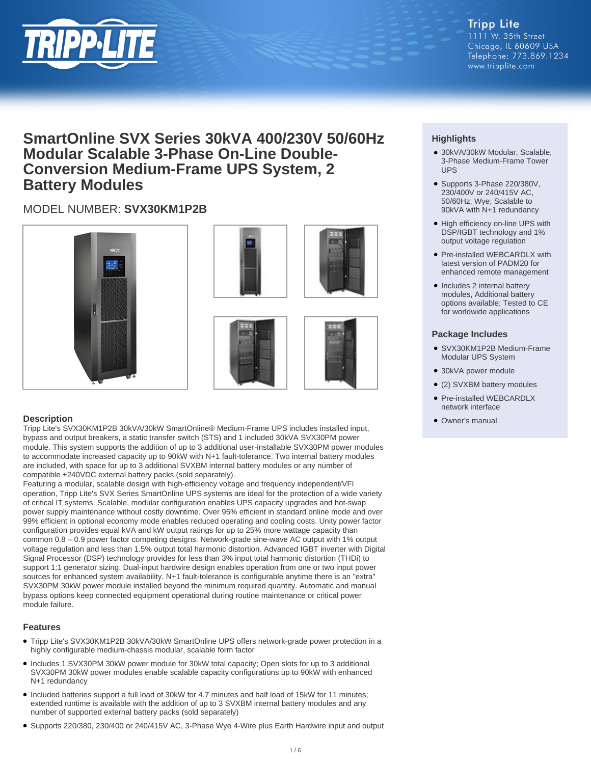

**Tripp Lite** 1111 W. 35th Street Chicago, IL 60609 USA Telephone: 773.869.1234 www.tripplite.com

# **SmartOnline SVX Series 30kVA 400/230V 50/60Hz Modular Scalable 3-Phase On-Line Double-Conversion Medium-Frame UPS System, 2 Battery Modules**

# MODEL NUMBER: **SVX30KM1P2B**









#### **Description**

Tripp Lite's SVX30KM1P2B 30kVA/30kW SmartOnline® Medium-Frame UPS includes installed input, bypass and output breakers, a static transfer switch (STS) and 1 included 30kVA SVX30PM power module. This system supports the addition of up to 3 additional user-installable SVX30PM power modules to accommodate increased capacity up to 90kW with N+1 fault-tolerance. Two internal battery modules are included, with space for up to 3 additional SVXBM internal battery modules or any number of compatible ±240VDC external battery packs (sold separately).

Featuring a modular, scalable design with high-efficiency voltage and frequency independent/VFI operation, Tripp Lite's SVX Series SmartOnline UPS systems are ideal for the protection of a wide variety of critical IT systems. Scalable, modular configuration enables UPS capacity upgrades and hot-swap power supply maintenance without costly downtime. Over 95% efficient in standard online mode and over 99% efficient in optional economy mode enables reduced operating and cooling costs. Unity power factor configuration provides equal kVA and kW output ratings for up to 25% more wattage capacity than common 0.8 – 0.9 power factor competing designs. Network-grade sine-wave AC output with 1% output voltage regulation and less than 1.5% output total harmonic distortion. Advanced IGBT inverter with Digital Signal Processor (DSP) technology provides for less than 3% input total harmonic distortion (THDi) to support 1:1 generator sizing. Dual-input hardwire design enables operation from one or two input power sources for enhanced system availability. N+1 fault-tolerance is configurable anytime there is an "extra" SVX30PM 30kW power module installed beyond the minimum required quantity. Automatic and manual bypass options keep connected equipment operational during routine maintenance or critical power module failure.

#### **Features**

- Tripp Lite's SVX30KM1P2B 30kVA/30kW SmartOnline UPS offers network-grade power protection in a highly configurable medium-chassis modular, scalable form factor
- Includes 1 SVX30PM 30kW power module for 30kW total capacity; Open slots for up to 3 additional SVX30PM 30kW power modules enable scalable capacity configurations up to 90kW with enhanced N+1 redundancy
- Included batteries support a full load of 30kW for 4.7 minutes and half load of 15kW for 11 minutes; extended runtime is available with the addition of up to 3 SVXBM internal battery modules and any number of supported external battery packs (sold separately)
- Supports 220/380, 230/400 or 240/415V AC, 3-Phase Wye 4-Wire plus Earth Hardwire input and output

# **Highlights**

- 30kVA/30kW Modular, Scalable, 3-Phase Medium-Frame Tower UPS
- Supports 3-Phase 220/380V, 230/400V or 240/415V AC, 50/60Hz, Wye; Scalable to 90kVA with N+1 redundancy
- High efficiency on-line UPS with DSP/IGBT technology and 1% output voltage regulation
- Pre-installed WEBCARDLX with latest version of PADM20 for enhanced remote management
- Includes 2 internal battery modules, Additional battery options available; Tested to CE for worldwide applications

#### **Package Includes**

- SVX30KM1P2B Medium-Frame Modular UPS System
- 30kVA power module
- (2) SVXBM battery modules
- Pre-installed WEBCARDLX network interface
- Owner's manual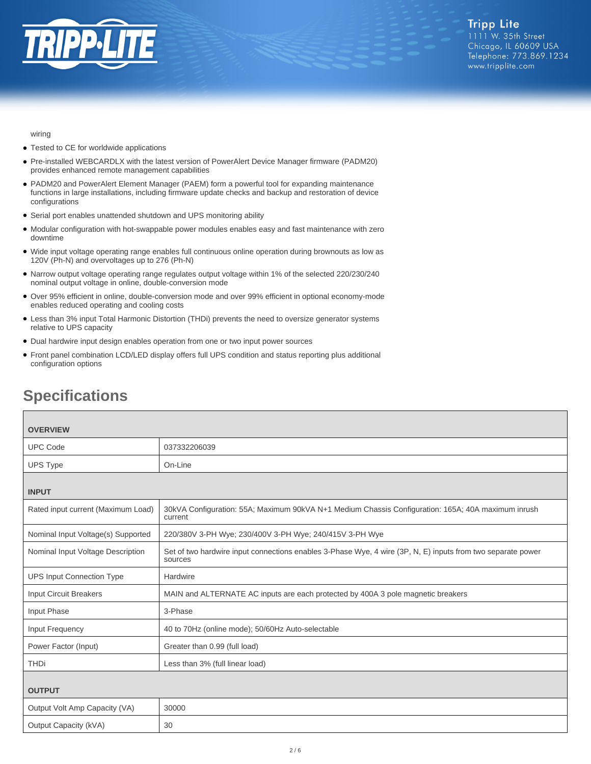

wiring

- Tested to CE for worldwide applications
- Pre-installed WEBCARDLX with the latest version of PowerAlert Device Manager firmware (PADM20) provides enhanced remote management capabilities
- PADM20 and PowerAlert Element Manager (PAEM) form a powerful tool for expanding maintenance functions in large installations, including firmware update checks and backup and restoration of device configurations
- Serial port enables unattended shutdown and UPS monitoring ability
- Modular configuration with hot-swappable power modules enables easy and fast maintenance with zero downtime
- Wide input voltage operating range enables full continuous online operation during brownouts as low as 120V (Ph-N) and overvoltages up to 276 (Ph-N)
- Narrow output voltage operating range regulates output voltage within 1% of the selected 220/230/240 nominal output voltage in online, double-conversion mode
- Over 95% efficient in online, double-conversion mode and over 99% efficient in optional economy-mode enables reduced operating and cooling costs
- Less than 3% input Total Harmonic Distortion (THDi) prevents the need to oversize generator systems relative to UPS capacity
- Dual hardwire input design enables operation from one or two input power sources
- Front panel combination LCD/LED display offers full UPS condition and status reporting plus additional configuration options

| <b>OVERVIEW</b>                    |                                                                                                                        |
|------------------------------------|------------------------------------------------------------------------------------------------------------------------|
| <b>UPC Code</b>                    | 037332206039                                                                                                           |
| <b>UPS Type</b>                    | On-Line                                                                                                                |
| <b>INPUT</b>                       |                                                                                                                        |
| Rated input current (Maximum Load) | 30kVA Configuration: 55A; Maximum 90kVA N+1 Medium Chassis Configuration: 165A; 40A maximum inrush<br>current          |
| Nominal Input Voltage(s) Supported | 220/380V 3-PH Wye; 230/400V 3-PH Wye; 240/415V 3-PH Wye                                                                |
| Nominal Input Voltage Description  | Set of two hardwire input connections enables 3-Phase Wye, 4 wire (3P, N, E) inputs from two separate power<br>sources |
| <b>UPS Input Connection Type</b>   | Hardwire                                                                                                               |
| <b>Input Circuit Breakers</b>      | MAIN and ALTERNATE AC inputs are each protected by 400A 3 pole magnetic breakers                                       |
| Input Phase                        | 3-Phase                                                                                                                |
| Input Frequency                    | 40 to 70Hz (online mode); 50/60Hz Auto-selectable                                                                      |
| Power Factor (Input)               | Greater than 0.99 (full load)                                                                                          |
| <b>THDi</b>                        | Less than 3% (full linear load)                                                                                        |
| <b>OUTPUT</b>                      |                                                                                                                        |
| Output Volt Amp Capacity (VA)      | 30000                                                                                                                  |
| Output Capacity (kVA)              | 30                                                                                                                     |

# **Specifications**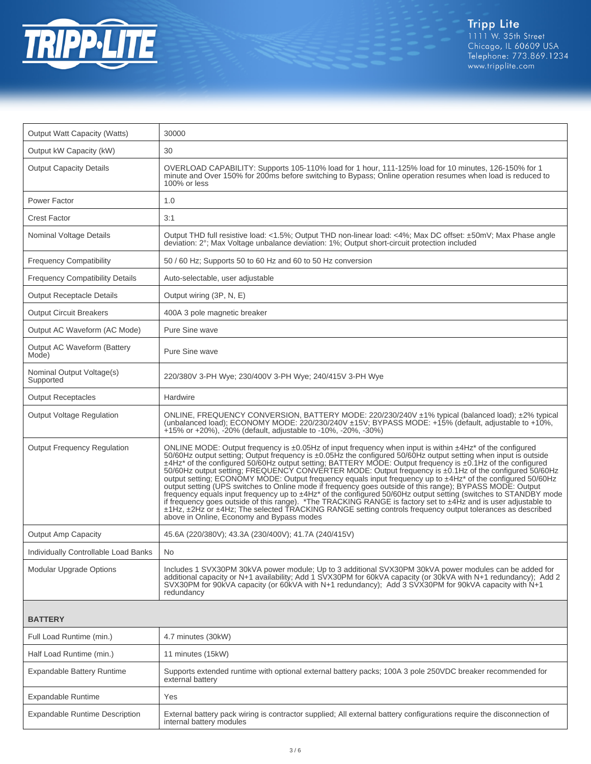

| <b>Output Watt Capacity (Watts)</b>    | 30000                                                                                                                                                                                                                                                                                                                                                                                                                                                                                                                                                                                                                                                                                                                                                                                                                                                                                                                                                                                                                                                                                                              |
|----------------------------------------|--------------------------------------------------------------------------------------------------------------------------------------------------------------------------------------------------------------------------------------------------------------------------------------------------------------------------------------------------------------------------------------------------------------------------------------------------------------------------------------------------------------------------------------------------------------------------------------------------------------------------------------------------------------------------------------------------------------------------------------------------------------------------------------------------------------------------------------------------------------------------------------------------------------------------------------------------------------------------------------------------------------------------------------------------------------------------------------------------------------------|
| Output kW Capacity (kW)                | 30                                                                                                                                                                                                                                                                                                                                                                                                                                                                                                                                                                                                                                                                                                                                                                                                                                                                                                                                                                                                                                                                                                                 |
| <b>Output Capacity Details</b>         | OVERLOAD CAPABILITY: Supports 105-110% load for 1 hour, 111-125% load for 10 minutes, 126-150% for 1<br>minute and Over 150% for 200ms before switching to Bypass; Online operation resumes when load is reduced to<br>100% or less                                                                                                                                                                                                                                                                                                                                                                                                                                                                                                                                                                                                                                                                                                                                                                                                                                                                                |
| Power Factor                           | 1.0                                                                                                                                                                                                                                                                                                                                                                                                                                                                                                                                                                                                                                                                                                                                                                                                                                                                                                                                                                                                                                                                                                                |
| <b>Crest Factor</b>                    | 3:1                                                                                                                                                                                                                                                                                                                                                                                                                                                                                                                                                                                                                                                                                                                                                                                                                                                                                                                                                                                                                                                                                                                |
| <b>Nominal Voltage Details</b>         | Output THD full resistive load: <1.5%; Output THD non-linear load: <4%; Max DC offset: ±50mV; Max Phase angle<br>deviation: 2°; Max Voltage unbalance deviation: 1%; Output short-circuit protection included                                                                                                                                                                                                                                                                                                                                                                                                                                                                                                                                                                                                                                                                                                                                                                                                                                                                                                      |
| <b>Frequency Compatibility</b>         | 50 / 60 Hz; Supports 50 to 60 Hz and 60 to 50 Hz conversion                                                                                                                                                                                                                                                                                                                                                                                                                                                                                                                                                                                                                                                                                                                                                                                                                                                                                                                                                                                                                                                        |
| <b>Frequency Compatibility Details</b> | Auto-selectable, user adjustable                                                                                                                                                                                                                                                                                                                                                                                                                                                                                                                                                                                                                                                                                                                                                                                                                                                                                                                                                                                                                                                                                   |
| <b>Output Receptacle Details</b>       | Output wiring (3P, N, E)                                                                                                                                                                                                                                                                                                                                                                                                                                                                                                                                                                                                                                                                                                                                                                                                                                                                                                                                                                                                                                                                                           |
| <b>Output Circuit Breakers</b>         | 400A 3 pole magnetic breaker                                                                                                                                                                                                                                                                                                                                                                                                                                                                                                                                                                                                                                                                                                                                                                                                                                                                                                                                                                                                                                                                                       |
| Output AC Waveform (AC Mode)           | Pure Sine wave                                                                                                                                                                                                                                                                                                                                                                                                                                                                                                                                                                                                                                                                                                                                                                                                                                                                                                                                                                                                                                                                                                     |
| Output AC Waveform (Battery<br>Mode)   | Pure Sine wave                                                                                                                                                                                                                                                                                                                                                                                                                                                                                                                                                                                                                                                                                                                                                                                                                                                                                                                                                                                                                                                                                                     |
| Nominal Output Voltage(s)<br>Supported | 220/380V 3-PH Wye; 230/400V 3-PH Wye; 240/415V 3-PH Wye                                                                                                                                                                                                                                                                                                                                                                                                                                                                                                                                                                                                                                                                                                                                                                                                                                                                                                                                                                                                                                                            |
| <b>Output Receptacles</b>              | Hardwire                                                                                                                                                                                                                                                                                                                                                                                                                                                                                                                                                                                                                                                                                                                                                                                                                                                                                                                                                                                                                                                                                                           |
| <b>Output Voltage Regulation</b>       | ONLINE, FREQUENCY CONVERSION, BATTERY MODE: 220/230/240V ±1% typical (balanced load); ±2% typical<br>(unbalanced load); ECONOMY MODE: 220/230/240V ±15V; BYPASS MODE: +15% (default, adjustable to +10%,<br>$+15\%$ or $+20\%$ ), $-20\%$ (default, adjustable to $-10\%$ , $-20\%$ , $-30\%$ )                                                                                                                                                                                                                                                                                                                                                                                                                                                                                                                                                                                                                                                                                                                                                                                                                    |
| <b>Output Frequency Regulation</b>     | ONLINE MODE: Output frequency is $\pm 0.05$ Hz of input frequency when input is within $\pm 4$ Hz <sup>*</sup> of the configured<br>50/60Hz output setting; Output frequency is ±0.05Hz the configured 50/60Hz output setting when input is outside<br>±4Hz* of the configured 50/60Hz output setting; BATTERY MODE: Output frequency is ±0.1Hz of the configured<br>50/60Hz output setting; FREQUENCY CONVERTER MODE: Output frequency is ±0.1Hz of the configured 50/60Hz<br>output setting; ECONOMY MODE: Output frequency equals input frequency up to ±4Hz <sup>*</sup> of the configured 50/60Hz<br>output setting (UPS switches to Online mode if frequency goes outside of this range); BYPASS MODE: Output<br>frequency equals input frequency up to ±4Hz* of the configured 50/60Hz output setting (switches to STANDBY mode<br>if frequency goes outside of this range). *The TRACKING RANGE is factory set to ±4Hz and is user adjustable to<br>±1Hz, ±2Hz or ±4Hz; The selected TRACKING RANGE setting controls frequency output tolerances as described<br>above in Online, Economy and Bypass modes |
| <b>Output Amp Capacity</b>             | 45.6A (220/380V); 43.3A (230/400V); 41.7A (240/415V)                                                                                                                                                                                                                                                                                                                                                                                                                                                                                                                                                                                                                                                                                                                                                                                                                                                                                                                                                                                                                                                               |
| Individually Controllable Load Banks   | <b>No</b>                                                                                                                                                                                                                                                                                                                                                                                                                                                                                                                                                                                                                                                                                                                                                                                                                                                                                                                                                                                                                                                                                                          |
| Modular Upgrade Options                | Includes 1 SVX30PM 30kVA power module; Up to 3 additional SVX30PM 30kVA power modules can be added for<br>additional capacity or N+1 availability; Add 1 SVX30PM for 60kVA capacity (or 30kVA with N+1 redundancy); Add 2<br>SVX30PM for 90KVA capacity (or 60kVA with N+1 redundancy); Add 3 SVX30PM for 90kVA capacity with N+1<br>redundancy                                                                                                                                                                                                                                                                                                                                                                                                                                                                                                                                                                                                                                                                                                                                                                    |
| <b>BATTERY</b>                         |                                                                                                                                                                                                                                                                                                                                                                                                                                                                                                                                                                                                                                                                                                                                                                                                                                                                                                                                                                                                                                                                                                                    |
| Full Load Runtime (min.)               | 4.7 minutes (30kW)                                                                                                                                                                                                                                                                                                                                                                                                                                                                                                                                                                                                                                                                                                                                                                                                                                                                                                                                                                                                                                                                                                 |
| Half Load Runtime (min.)               | 11 minutes (15kW)                                                                                                                                                                                                                                                                                                                                                                                                                                                                                                                                                                                                                                                                                                                                                                                                                                                                                                                                                                                                                                                                                                  |
| <b>Expandable Battery Runtime</b>      | Supports extended runtime with optional external battery packs; 100A 3 pole 250VDC breaker recommended for<br>external battery                                                                                                                                                                                                                                                                                                                                                                                                                                                                                                                                                                                                                                                                                                                                                                                                                                                                                                                                                                                     |
| Expandable Runtime                     | Yes                                                                                                                                                                                                                                                                                                                                                                                                                                                                                                                                                                                                                                                                                                                                                                                                                                                                                                                                                                                                                                                                                                                |
| <b>Expandable Runtime Description</b>  | External battery pack wiring is contractor supplied; All external battery configurations require the disconnection of<br>internal battery modules                                                                                                                                                                                                                                                                                                                                                                                                                                                                                                                                                                                                                                                                                                                                                                                                                                                                                                                                                                  |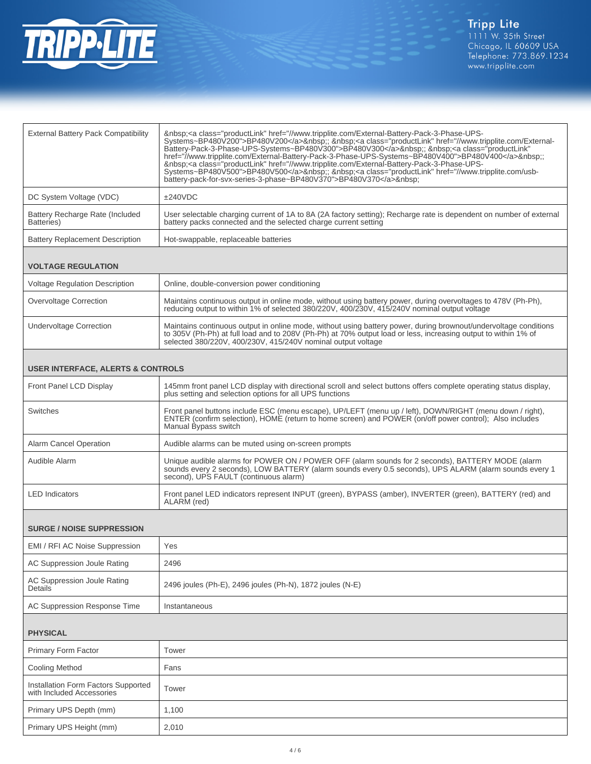

| <b>External Battery Pack Compatibility</b>    | <a class="productLink" href="//www.tripplite.com/External-Battery-Pack-3-Phase-UPS-&lt;br&gt;Systems~BP480V200">BP480V200</a> ; <a class="productLink" href="//www.tripplite.com/External-&lt;br&gt;Battery-Pack-3-Phase-UPS-Systems~BP480V300">BP480V300</a> :;  : <a <br="" class="productLink">href="//www.tripplite.com/External-Battery-Pack-3-Phase-UPS-Systems~BP480V400"&gt;BP480V400</a> :;<br>: <a class="productLink" href="//www.tripplite.com/External-Battery-Pack-3-Phase-UPS-&lt;br&gt;Systems~BP480V500">BP480V500</a> ; <a class="productLink" href="//www.tripplite.com/usb-&lt;br&gt;battery-pack-for-svx-series-3-phase~BP480V370">BP480V370</a> |  |
|-----------------------------------------------|-----------------------------------------------------------------------------------------------------------------------------------------------------------------------------------------------------------------------------------------------------------------------------------------------------------------------------------------------------------------------------------------------------------------------------------------------------------------------------------------------------------------------------------------------------------------------------------------------------------------------------------------------------------------------|--|
| DC System Voltage (VDC)                       | ±240VDC                                                                                                                                                                                                                                                                                                                                                                                                                                                                                                                                                                                                                                                               |  |
| Battery Recharge Rate (Included<br>Batteries) | User selectable charging current of 1A to 8A (2A factory setting); Recharge rate is dependent on number of external<br>battery packs connected and the selected charge current setting                                                                                                                                                                                                                                                                                                                                                                                                                                                                                |  |
| <b>Battery Replacement Description</b>        | Hot-swappable, replaceable batteries                                                                                                                                                                                                                                                                                                                                                                                                                                                                                                                                                                                                                                  |  |
| <b>VOLTAGE REGULATION</b>                     |                                                                                                                                                                                                                                                                                                                                                                                                                                                                                                                                                                                                                                                                       |  |
| <b>Voltage Regulation Description</b>         | Online, double-conversion power conditioning                                                                                                                                                                                                                                                                                                                                                                                                                                                                                                                                                                                                                          |  |
| Overvoltage Correction                        | Maintains continuous output in online mode, without using battery power, during overvoltages to 478V (Ph-Ph),<br>reducing output to within 1% of selected 380/220V, 400/230V, 415/240V nominal output voltage                                                                                                                                                                                                                                                                                                                                                                                                                                                         |  |
| <b>Undervoltage Correction</b>                | Maintains continuous output in online mode, without using battery power, during brownout/undervoltage conditions<br>to 305V (Ph-Ph) at full load and to 208V (Ph-Ph) at 70% output load or less, increasing output to within 1% of<br>selected 380/220V, 400/230V, 415/240V nominal output voltage                                                                                                                                                                                                                                                                                                                                                                    |  |
| <b>USER INTERFACE, ALERTS &amp; CONTROLS</b>  |                                                                                                                                                                                                                                                                                                                                                                                                                                                                                                                                                                                                                                                                       |  |
| Front Panel LCD Display                       | 145mm front panel LCD display with directional scroll and select buttons offers complete operating status display,<br>plus setting and selection options for all UPS functions                                                                                                                                                                                                                                                                                                                                                                                                                                                                                        |  |
| Switches                                      | Front panel buttons include ESC (menu escape), UP/LEFT (menu up / left), DOWN/RIGHT (menu down / right),                                                                                                                                                                                                                                                                                                                                                                                                                                                                                                                                                              |  |

|                        | ENTER (confirm selection), HOME (return to home screen) and POWER (on/off power control); Also includes<br>Manual Bypass switch                                                                                                                     |
|------------------------|-----------------------------------------------------------------------------------------------------------------------------------------------------------------------------------------------------------------------------------------------------|
| Alarm Cancel Operation | Audible alarms can be muted using on-screen prompts                                                                                                                                                                                                 |
| Audible Alarm          | Unique audible alarms for POWER ON / POWER OFF (alarm sounds for 2 seconds), BATTERY MODE (alarm<br>sounds every 2 seconds), LOW BATTERY (alarm sounds every 0.5 seconds), UPS ALARM (alarm sounds every 1<br>second), UPS FAULT (continuous alarm) |
| <b>LED</b> Indicators  | Front panel LED indicators represent INPUT (green), BYPASS (amber), INVERTER (green), BATTERY (red) and<br>ALARM (red)                                                                                                                              |

### **SURGE / NOISE SUPPRESSION**

| EMI / RFI AC Noise Suppression                | Yes                                                       |
|-----------------------------------------------|-----------------------------------------------------------|
| AC Suppression Joule Rating                   | 2496                                                      |
| AC Suppression Joule Rating<br><b>Details</b> | 2496 joules (Ph-E), 2496 joules (Ph-N), 1872 joules (N-E) |
| AC Suppression Response Time                  | Instantaneous                                             |

## **PHYSICAL**

| <b>Primary Form Factor</b>                                       | Tower |
|------------------------------------------------------------------|-------|
| Cooling Method                                                   | Fans  |
| Installation Form Factors Supported<br>with Included Accessories | Tower |
| Primary UPS Depth (mm)                                           | 1,100 |
| Primary UPS Height (mm)                                          | 2,010 |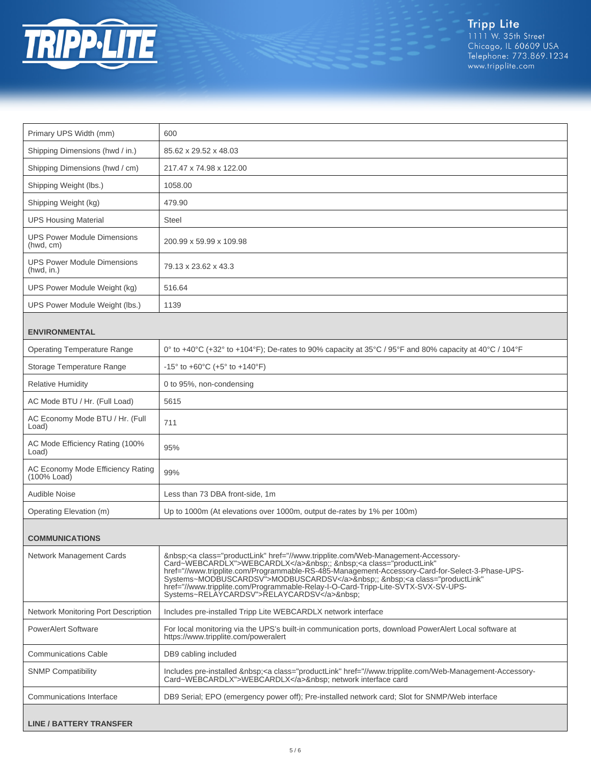

Tripp Lite<br>1111 W. 35th Street<br>Chicago, IL 60609 USA<br>Telephone: 773.869.1234<br>www.tripplite.com

| Primary UPS Width (mm)                           | 600                                                                                                                                                                                                                                                                                                                                                                                                                                                                 |
|--------------------------------------------------|---------------------------------------------------------------------------------------------------------------------------------------------------------------------------------------------------------------------------------------------------------------------------------------------------------------------------------------------------------------------------------------------------------------------------------------------------------------------|
| Shipping Dimensions (hwd / in.)                  | 85.62 x 29.52 x 48.03                                                                                                                                                                                                                                                                                                                                                                                                                                               |
| Shipping Dimensions (hwd / cm)                   | 217.47 x 74.98 x 122.00                                                                                                                                                                                                                                                                                                                                                                                                                                             |
| Shipping Weight (lbs.)                           | 1058.00                                                                                                                                                                                                                                                                                                                                                                                                                                                             |
| Shipping Weight (kg)                             | 479.90                                                                                                                                                                                                                                                                                                                                                                                                                                                              |
| <b>UPS Housing Material</b>                      | Steel                                                                                                                                                                                                                                                                                                                                                                                                                                                               |
| <b>UPS Power Module Dimensions</b><br>(hwd, cm)  | 200.99 x 59.99 x 109.98                                                                                                                                                                                                                                                                                                                                                                                                                                             |
| <b>UPS Power Module Dimensions</b><br>(hwd, in.) | 79.13 x 23.62 x 43.3                                                                                                                                                                                                                                                                                                                                                                                                                                                |
| UPS Power Module Weight (kg)                     | 516.64                                                                                                                                                                                                                                                                                                                                                                                                                                                              |
| UPS Power Module Weight (lbs.)                   | 1139                                                                                                                                                                                                                                                                                                                                                                                                                                                                |
| <b>ENVIRONMENTAL</b>                             |                                                                                                                                                                                                                                                                                                                                                                                                                                                                     |
| <b>Operating Temperature Range</b>               | 0° to +40°C (+32° to +104°F); De-rates to 90% capacity at 35°C / 95°F and 80% capacity at 40°C / 104°F                                                                                                                                                                                                                                                                                                                                                              |
| Storage Temperature Range                        | -15° to +60°C (+5° to +140°F)                                                                                                                                                                                                                                                                                                                                                                                                                                       |
| <b>Relative Humidity</b>                         | 0 to 95%, non-condensing                                                                                                                                                                                                                                                                                                                                                                                                                                            |
| AC Mode BTU / Hr. (Full Load)                    | 5615                                                                                                                                                                                                                                                                                                                                                                                                                                                                |
| AC Economy Mode BTU / Hr. (Full<br>Load)         | 711                                                                                                                                                                                                                                                                                                                                                                                                                                                                 |
| AC Mode Efficiency Rating (100%<br>Load)         | 95%                                                                                                                                                                                                                                                                                                                                                                                                                                                                 |
| AC Economy Mode Efficiency Rating<br>(100% Load) | 99%                                                                                                                                                                                                                                                                                                                                                                                                                                                                 |
| Audible Noise                                    | Less than 73 DBA front-side, 1m                                                                                                                                                                                                                                                                                                                                                                                                                                     |
| Operating Elevation (m)                          | Up to 1000m (At elevations over 1000m, output de-rates by 1% per 100m)                                                                                                                                                                                                                                                                                                                                                                                              |
| <b>COMMUNICATIONS</b>                            |                                                                                                                                                                                                                                                                                                                                                                                                                                                                     |
| Network Management Cards                         | <a class="productLink" href="//www.tripplite.com/Web-Management-Accessory-&lt;br&gt;Card~WEBCARDLX">WEBCARDLX</a> :;  : <a <br="" class="productLink">href="//www.tripplite.com/Programmable-RS-485-Management-Accessory-Card-for-Select-3-Phase-UPS-<br/>Systems~MODBUSCARDSV"&gt;MODBUSCARDSV</a> ; <a <br="" class="productLink">href="//www.tripplite.com/Programmable-Relay-I-O-Card-Tripp-Lite-SVTX-SVX-SV-UPS-<br/>Systems~RELAYCARDSV"&gt;RELAYCARDSV</a> : |
| Network Monitoring Port Description              | Includes pre-installed Tripp Lite WEBCARDLX network interface                                                                                                                                                                                                                                                                                                                                                                                                       |
| <b>PowerAlert Software</b>                       | For local monitoring via the UPS's built-in communication ports, download PowerAlert Local software at<br>https://www.tripplite.com/poweralert                                                                                                                                                                                                                                                                                                                      |
| <b>Communications Cable</b>                      | DB9 cabling included                                                                                                                                                                                                                                                                                                                                                                                                                                                |
| <b>SNMP Compatibility</b>                        | Includes pre-installed <a class="productLink" href="//www.tripplite.com/Web-Management-Accessory-&lt;br&gt;Card~WEBCARDLX">WEBCARDLX</a> network interface card                                                                                                                                                                                                                                                                                                     |
| Communications Interface                         | DB9 Serial; EPO (emergency power off); Pre-installed network card; Slot for SNMP/Web interface                                                                                                                                                                                                                                                                                                                                                                      |
| <b>LINE / BATTERY TRANSFER</b>                   |                                                                                                                                                                                                                                                                                                                                                                                                                                                                     |